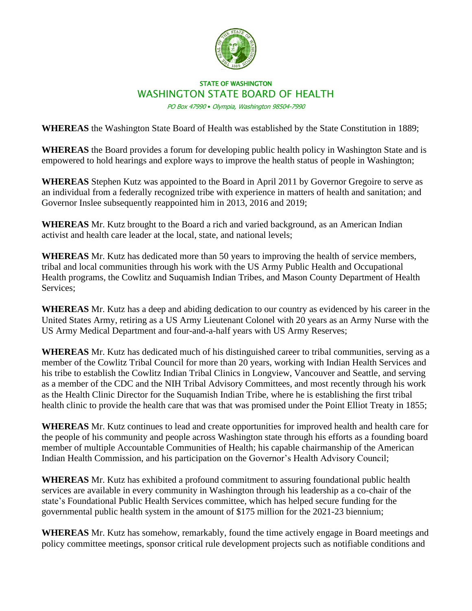

## STATE OF WASHINGTON WASHINGTON STATE BOARD OF HEALTH

PO Box 47990 • Olympia, Washington 98504-7990

**WHEREAS** the Washington State Board of Health was established by the State Constitution in 1889;

**WHEREAS** the Board provides a forum for developing public health policy in Washington State and is empowered to hold hearings and explore ways to improve the health status of people in Washington;

**WHEREAS** Stephen Kutz was appointed to the Board in April 2011 by Governor Gregoire to serve as an individual from a federally recognized tribe with experience in matters of health and sanitation; and Governor Inslee subsequently reappointed him in 2013, 2016 and 2019;

**WHEREAS** Mr. Kutz brought to the Board a rich and varied background, as an American Indian activist and health care leader at the local, state, and national levels;

**WHEREAS** Mr. Kutz has dedicated more than 50 years to improving the health of service members, tribal and local communities through his work with the US Army Public Health and Occupational Health programs, the Cowlitz and Suquamish Indian Tribes, and Mason County Department of Health Services;

**WHEREAS** Mr. Kutz has a deep and abiding dedication to our country as evidenced by his career in the United States Army, retiring as a US Army Lieutenant Colonel with 20 years as an Army Nurse with the US Army Medical Department and four-and-a-half years with US Army Reserves;

**WHEREAS** Mr. Kutz has dedicated much of his distinguished career to tribal communities, serving as a member of the Cowlitz Tribal Council for more than 20 years, working with Indian Health Services and his tribe to establish the Cowlitz Indian Tribal Clinics in Longview, Vancouver and Seattle, and serving as a member of the CDC and the NIH Tribal Advisory Committees, and most recently through his work as the Health Clinic Director for the Suquamish Indian Tribe, where he is establishing the first tribal health clinic to provide the health care that was that was promised under the Point Elliot Treaty in 1855;

**WHEREAS** Mr. Kutz continues to lead and create opportunities for improved health and health care for the people of his community and people across Washington state through his efforts as a founding board member of multiple Accountable Communities of Health; his capable chairmanship of the American Indian Health Commission, and his participation on the Governor's Health Advisory Council;

**WHEREAS** Mr. Kutz has exhibited a profound commitment to assuring foundational public health services are available in every community in Washington through his leadership as a co-chair of the state's Foundational Public Health Services committee, which has helped secure funding for the governmental public health system in the amount of \$175 million for the 2021-23 biennium;

**WHEREAS** Mr. Kutz has somehow, remarkably, found the time actively engage in Board meetings and policy committee meetings, sponsor critical rule development projects such as notifiable conditions and